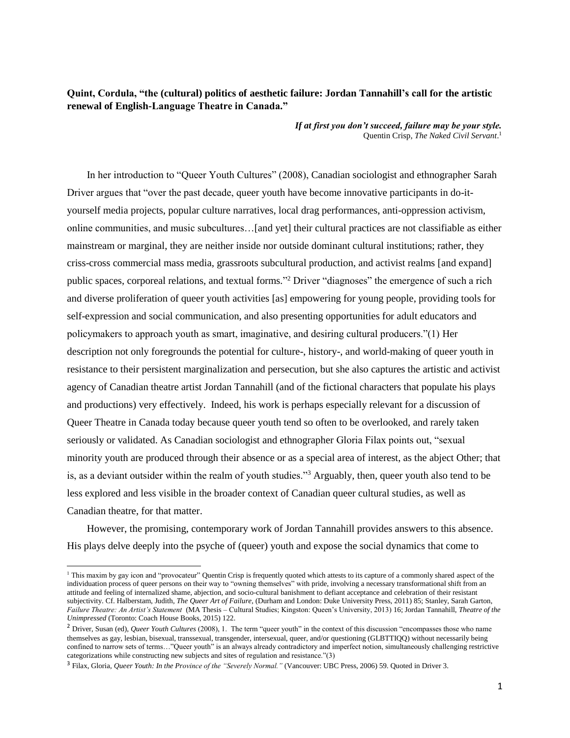# **Quint, Cordula, "the (cultural) politics of aesthetic failure: Jordan Tannahill's call for the artistic renewal of English-Language Theatre in Canada."**

 *If at first you don't succeed, failure may be your style.* Quentin Crisp, *The Naked Civil Servant*. 1

In her introduction to "Queer Youth Cultures" (2008), Canadian sociologist and ethnographer Sarah Driver argues that "over the past decade, queer youth have become innovative participants in do-ityourself media projects, popular culture narratives, local drag performances, anti-oppression activism, online communities, and music subcultures…[and yet] their cultural practices are not classifiable as either mainstream or marginal, they are neither inside nor outside dominant cultural institutions; rather, they criss-cross commercial mass media, grassroots subcultural production, and activist realms [and expand] public spaces, corporeal relations, and textual forms."<sup>2</sup> Driver "diagnoses" the emergence of such a rich and diverse proliferation of queer youth activities [as] empowering for young people, providing tools for self-expression and social communication, and also presenting opportunities for adult educators and policymakers to approach youth as smart, imaginative, and desiring cultural producers."(1) Her description not only foregrounds the potential for culture-, history-, and world-making of queer youth in resistance to their persistent marginalization and persecution, but she also captures the artistic and activist agency of Canadian theatre artist Jordan Tannahill (and of the fictional characters that populate his plays and productions) very effectively. Indeed, his work is perhaps especially relevant for a discussion of Queer Theatre in Canada today because queer youth tend so often to be overlooked, and rarely taken seriously or validated. As Canadian sociologist and ethnographer Gloria Filax points out, "sexual minority youth are produced through their absence or as a special area of interest, as the abject Other; that is, as a deviant outsider within the realm of youth studies."<sup>3</sup> Arguably, then, queer youth also tend to be less explored and less visible in the broader context of Canadian queer cultural studies, as well as Canadian theatre, for that matter.

However, the promising, contemporary work of Jordan Tannahill provides answers to this absence. His plays delve deeply into the psyche of (queer) youth and expose the social dynamics that come to

<sup>&</sup>lt;sup>1</sup> This maxim by gay icon and "provocateur" Quentin Crisp is frequently quoted which attests to its capture of a commonly shared aspect of the individuation process of queer persons on their way to "owning themselves" with pride, involving a necessary transformational shift from an attitude and feeling of internalized shame, abjection, and socio-cultural banishment to defiant acceptance and celebration of their resistant subjectivity. Cf. Halberstam, Judith, *The Queer Art of Failure*, (Durham and London: Duke University Press, 2011) 85; Stanley, Sarah Garton, *Failure Theatre: An Artist's Statement* (MA Thesis – Cultural Studies; Kingston: Queen's University, 2013) 16; Jordan Tannahill, *Theatre of the Unimpressed* (Toronto: Coach House Books, 2015) 122.

<sup>&</sup>lt;sup>2</sup> Driver, Susan (ed), *Queer Youth Cultures* (2008), 1. The term "queer youth" in the context of this discussion "encompasses those who name themselves as gay, lesbian, bisexual, transsexual, transgender, intersexual, queer, and/or questioning (GLBTTIQQ) without necessarily being confined to narrow sets of terms…"Queer youth" is an always already contradictory and imperfect notion, simultaneously challenging restrictive categorizations while constructing new subjects and sites of regulation and resistance."(3)

<sup>3</sup> Filax, Gloria, *Queer Youth: In the Province of the "Severely Normal."* (Vancouver: UBC Press, 2006) 59. Quoted in Driver 3.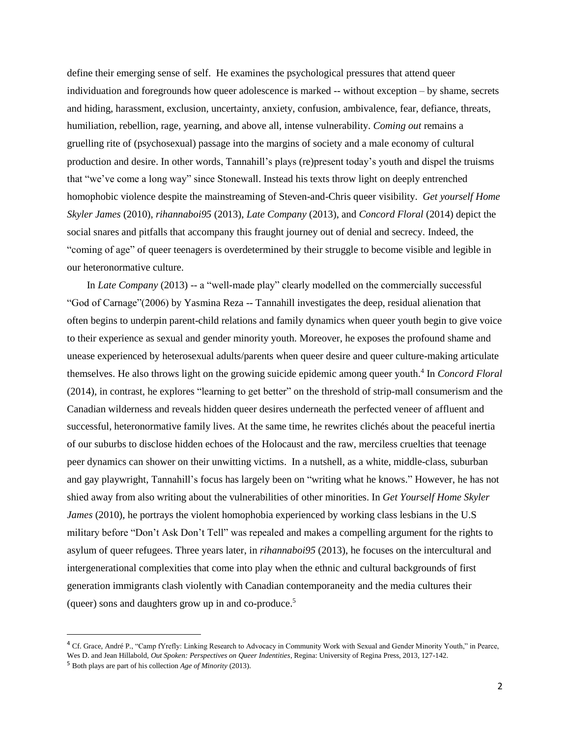define their emerging sense of self. He examines the psychological pressures that attend queer individuation and foregrounds how queer adolescence is marked -- without exception – by shame, secrets and hiding, harassment, exclusion, uncertainty, anxiety, confusion, ambivalence, fear, defiance, threats, humiliation, rebellion, rage, yearning, and above all, intense vulnerability. *Coming out* remains a gruelling rite of (psychosexual) passage into the margins of society and a male economy of cultural production and desire. In other words, Tannahill's plays (re)present today's youth and dispel the truisms that "we've come a long way" since Stonewall. Instead his texts throw light on deeply entrenched homophobic violence despite the mainstreaming of Steven-and-Chris queer visibility. *Get yourself Home Skyler James* (2010), *rihannaboi95* (2013), *Late Company* (2013), and *Concord Floral* (2014) depict the social snares and pitfalls that accompany this fraught journey out of denial and secrecy. Indeed, the "coming of age" of queer teenagers is overdetermined by their struggle to become visible and legible in our heteronormative culture.

In *Late Company* (2013) -- a "well-made play" clearly modelled on the commercially successful "God of Carnage"(2006) by Yasmina Reza -- Tannahill investigates the deep, residual alienation that often begins to underpin parent-child relations and family dynamics when queer youth begin to give voice to their experience as sexual and gender minority youth. Moreover, he exposes the profound shame and unease experienced by heterosexual adults/parents when queer desire and queer culture-making articulate themselves. He also throws light on the growing suicide epidemic among queer youth.<sup>4</sup> In *Concord Floral* (2014), in contrast, he explores "learning to get better" on the threshold of strip-mall consumerism and the Canadian wilderness and reveals hidden queer desires underneath the perfected veneer of affluent and successful, heteronormative family lives. At the same time, he rewrites clichés about the peaceful inertia of our suburbs to disclose hidden echoes of the Holocaust and the raw, merciless cruelties that teenage peer dynamics can shower on their unwitting victims. In a nutshell, as a white, middle-class, suburban and gay playwright, Tannahill's focus has largely been on "writing what he knows." However, he has not shied away from also writing about the vulnerabilities of other minorities. In *Get Yourself Home Skyler James* (2010), he portrays the violent homophobia experienced by working class lesbians in the U.S military before "Don't Ask Don't Tell" was repealed and makes a compelling argument for the rights to asylum of queer refugees. Three years later, in *rihannaboi95* (2013), he focuses on the intercultural and intergenerational complexities that come into play when the ethnic and cultural backgrounds of first generation immigrants clash violently with Canadian contemporaneity and the media cultures their (queer) sons and daughters grow up in and co-produce. 5

<sup>4</sup> Cf. Grace, André P., "Camp fYrefly: Linking Research to Advocacy in Community Work with Sexual and Gender Minority Youth," in Pearce, Wes D. and Jean Hillabold, *Out Spoken: Perspectives on Queer Indentities*, Regina: University of Regina Press, 2013, 127-142.

<sup>5</sup> Both plays are part of his collection *Age of Minority* (2013).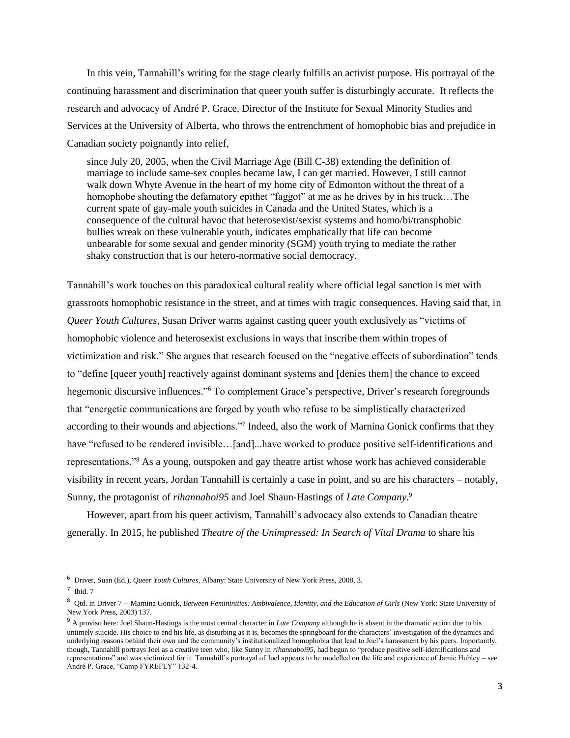In this vein, Tannahill's writing for the stage clearly fulfills an activist purpose. His portrayal of the continuing harassment and discrimination that queer youth suffer is disturbingly accurate. It reflects the research and advocacy of André P. Grace, Director of the Institute for Sexual Minority Studies and Services at the University of Alberta, who throws the entrenchment of homophobic bias and prejudice in Canadian society poignantly into relief,

since July 20, 2005, when the Civil Marriage Age (Bill C-38) extending the definition of marriage to include same-sex couples became law, I can get married. However, I still cannot walk down Whyte Avenue in the heart of my home city of Edmonton without the threat of a homophobe shouting the defamatory epithet "faggot" at me as he drives by in his truck…The current spate of gay-male youth suicides in Canada and the United States, which is a consequence of the cultural havoc that heterosexist/sexist systems and homo/bi/transphobic bullies wreak on these vulnerable youth, indicates emphatically that life can become unbearable for some sexual and gender minority (SGM) youth trying to mediate the rather shaky construction that is our hetero-normative social democracy.

Tannahill's work touches on this paradoxical cultural reality where official legal sanction is met with grassroots homophobic resistance in the street, and at times with tragic consequences. Having said that, in *Queer Youth Cultures*, Susan Driver warns against casting queer youth exclusively as "victims of homophobic violence and heterosexist exclusions in ways that inscribe them within tropes of victimization and risk." She argues that research focused on the "negative effects of subordination" tends to "define [queer youth] reactively against dominant systems and [denies them] the chance to exceed hegemonic discursive influences."<sup>6</sup> To complement Grace's perspective, Driver's research foregrounds that "energetic communications are forged by youth who refuse to be simplistically characterized according to their wounds and abjections."<sup>7</sup> Indeed, also the work of Marnina Gonick confirms that they have "refused to be rendered invisible...[and]...have worked to produce positive self-identifications and representations."<sup>8</sup> As a young, outspoken and gay theatre artist whose work has achieved considerable visibility in recent years, Jordan Tannahill is certainly a case in point, and so are his characters – notably, Sunny, the protagonist of *rihannaboi95* and Joel Shaun-Hastings of *Late Company.* 9

However, apart from his queer activism, Tannahill's advocacy also extends to Canadian theatre generally. In 2015, he published *Theatre of the Unimpressed: In Search of Vital Drama* to share his

<sup>6</sup> Driver, Suan (Ed.), *Queer Youth Cultures*, Albany: State University of New York Press, 2008, 3.

 $<sup>7</sup>$  Ibid. 7</sup>

<sup>&</sup>lt;sup>8</sup> Qtd. in Driver 7 -- Marnina Gonick, *Between Femininities: Ambivalence, Identity, and the Education of Girls* (New York: State University of New York Press, 2003) 137.

<sup>9</sup> A proviso here: Joel Shaun-Hastings is the most central character in *Late Company* although he is absent in the dramatic action due to his untimely suicide. His choice to end his life, as disturbing as it is, becomes the springboard for the characters' investigation of the dynamics and underlying reasons behind their own and the community's institutionalized homophobia that lead to Joel's harassment by his peers. Importantly, though, Tannahill portrays Joel as a creative teen who, like Sunny in *rihannaboi95*, had begun to "produce positive self-identifications and representations" and was victimized for it. Tannahill's portrayal of Joel appears to be modelled on the life and experience of Jamie Hubley – see André P. Grace, "Camp FYREFLY" 132-4.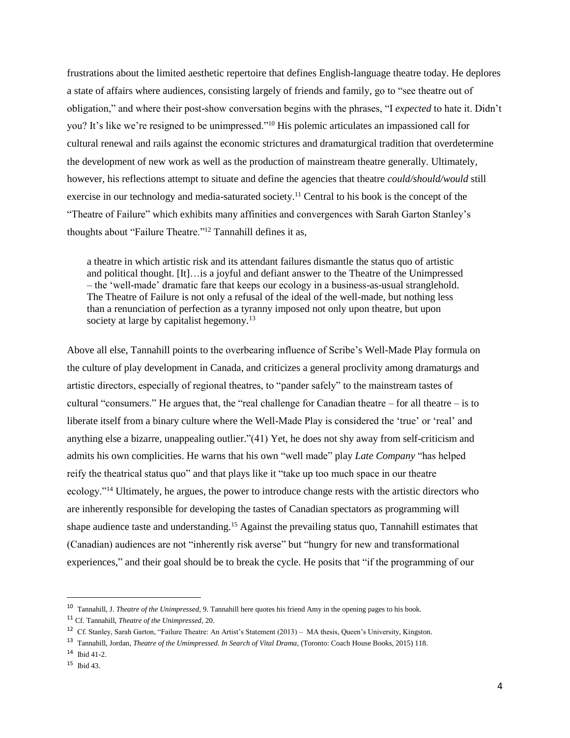frustrations about the limited aesthetic repertoire that defines English-language theatre today. He deplores a state of affairs where audiences, consisting largely of friends and family, go to "see theatre out of obligation," and where their post-show conversation begins with the phrases, "I *expected* to hate it. Didn't you? It's like we're resigned to be unimpressed."<sup>10</sup> His polemic articulates an impassioned call for cultural renewal and rails against the economic strictures and dramaturgical tradition that overdetermine the development of new work as well as the production of mainstream theatre generally. Ultimately, however, his reflections attempt to situate and define the agencies that theatre *could/should/would* still exercise in our technology and media-saturated society.<sup>11</sup> Central to his book is the concept of the "Theatre of Failure" which exhibits many affinities and convergences with Sarah Garton Stanley's thoughts about "Failure Theatre." <sup>12</sup> Tannahill defines it as,

a theatre in which artistic risk and its attendant failures dismantle the status quo of artistic and political thought. [It]…is a joyful and defiant answer to the Theatre of the Unimpressed – the 'well-made' dramatic fare that keeps our ecology in a business-as-usual stranglehold. The Theatre of Failure is not only a refusal of the ideal of the well-made, but nothing less than a renunciation of perfection as a tyranny imposed not only upon theatre, but upon society at large by capitalist hegemony.<sup>13</sup>

Above all else, Tannahill points to the overbearing influence of Scribe's Well-Made Play formula on the culture of play development in Canada, and criticizes a general proclivity among dramaturgs and artistic directors, especially of regional theatres, to "pander safely" to the mainstream tastes of cultural "consumers." He argues that, the "real challenge for Canadian theatre – for all theatre – is to liberate itself from a binary culture where the Well-Made Play is considered the 'true' or 'real' and anything else a bizarre, unappealing outlier."(41) Yet, he does not shy away from self-criticism and admits his own complicities. He warns that his own "well made" play *Late Company* "has helped reify the theatrical status quo" and that plays like it "take up too much space in our theatre ecology."<sup>14</sup> Ultimately, he argues, the power to introduce change rests with the artistic directors who are inherently responsible for developing the tastes of Canadian spectators as programming will shape audience taste and understanding.<sup>15</sup> Against the prevailing status quo, Tannahill estimates that (Canadian) audiences are not "inherently risk averse" but "hungry for new and transformational experiences," and their goal should be to break the cycle. He posits that "if the programming of our

<sup>10</sup> Tannahill, J. *Theatre of the Unimpressed*, 9. Tannahill here quotes his friend Amy in the opening pages to his book.

<sup>11</sup> Cf. Tannahill, *Theatre of the Unimpressed*, 20.

<sup>12</sup> Cf. Stanley, Sarah Garton, "Failure Theatre: An Artist's Statement (2013) – MA thesis, Queen's University, Kingston.

<sup>13</sup> Tannahill, Jordan, *Theatre of the Umimpressed. In Search of Vital Drama*, (Toronto: Coach House Books, 2015) 118.

<sup>14</sup> Ibid 41-2.

<sup>15</sup> Ibid 43.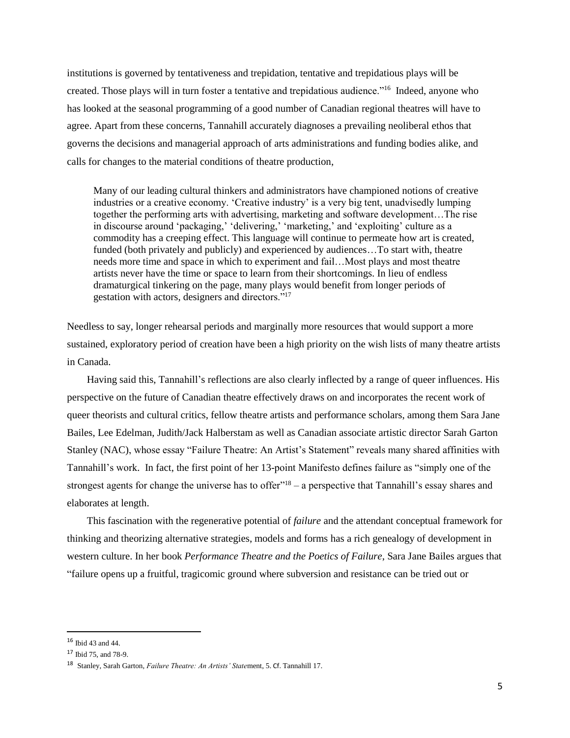institutions is governed by tentativeness and trepidation, tentative and trepidatious plays will be created. Those plays will in turn foster a tentative and trepidatious audience."<sup>16</sup> Indeed, anyone who has looked at the seasonal programming of a good number of Canadian regional theatres will have to agree. Apart from these concerns, Tannahill accurately diagnoses a prevailing neoliberal ethos that governs the decisions and managerial approach of arts administrations and funding bodies alike, and calls for changes to the material conditions of theatre production,

Many of our leading cultural thinkers and administrators have championed notions of creative industries or a creative economy. 'Creative industry' is a very big tent, unadvisedly lumping together the performing arts with advertising, marketing and software development…The rise in discourse around 'packaging,' 'delivering,' 'marketing,' and 'exploiting' culture as a commodity has a creeping effect. This language will continue to permeate how art is created, funded (both privately and publicly) and experienced by audiences…To start with, theatre needs more time and space in which to experiment and fail…Most plays and most theatre artists never have the time or space to learn from their shortcomings. In lieu of endless dramaturgical tinkering on the page, many plays would benefit from longer periods of gestation with actors, designers and directors."<sup>17</sup>

Needless to say, longer rehearsal periods and marginally more resources that would support a more sustained, exploratory period of creation have been a high priority on the wish lists of many theatre artists in Canada.

Having said this, Tannahill's reflections are also clearly inflected by a range of queer influences. His perspective on the future of Canadian theatre effectively draws on and incorporates the recent work of queer theorists and cultural critics, fellow theatre artists and performance scholars, among them Sara Jane Bailes, Lee Edelman, Judith/Jack Halberstam as well as Canadian associate artistic director Sarah Garton Stanley (NAC), whose essay "Failure Theatre: An Artist's Statement" reveals many shared affinities with Tannahill's work. In fact, the first point of her 13-point Manifesto defines failure as "simply one of the strongest agents for change the universe has to offer $"18 - a$  perspective that Tannahill's essay shares and elaborates at length.

This fascination with the regenerative potential of *failure* and the attendant conceptual framework for thinking and theorizing alternative strategies, models and forms has a rich genealogy of development in western culture. In her book *Performance Theatre and the Poetics of Failure*, Sara Jane Bailes argues that "failure opens up a fruitful, tragicomic ground where subversion and resistance can be tried out or

<sup>16</sup> Ibid 43 and 44.

<sup>17</sup> Ibid 75, and 78-9.

<sup>18</sup> Stanley, Sarah Garton, *Failure Theatre: An Artists' State*ment, 5. Cf. Tannahill 17.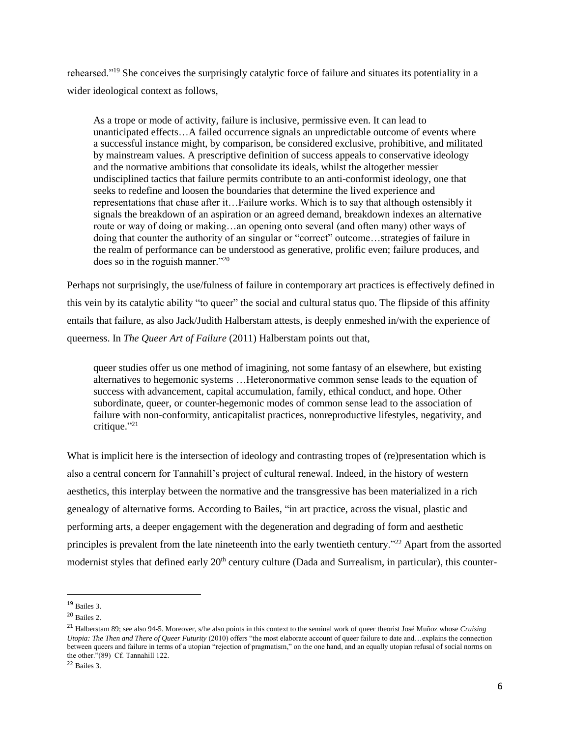rehearsed."<sup>19</sup> She conceives the surprisingly catalytic force of failure and situates its potentiality in a wider ideological context as follows,

As a trope or mode of activity, failure is inclusive, permissive even. It can lead to unanticipated effects…A failed occurrence signals an unpredictable outcome of events where a successful instance might, by comparison, be considered exclusive, prohibitive, and militated by mainstream values. A prescriptive definition of success appeals to conservative ideology and the normative ambitions that consolidate its ideals, whilst the altogether messier undisciplined tactics that failure permits contribute to an anti-conformist ideology, one that seeks to redefine and loosen the boundaries that determine the lived experience and representations that chase after it…Failure works. Which is to say that although ostensibly it signals the breakdown of an aspiration or an agreed demand, breakdown indexes an alternative route or way of doing or making…an opening onto several (and often many) other ways of doing that counter the authority of an singular or "correct" outcome…strategies of failure in the realm of performance can be understood as generative, prolific even; failure produces, and does so in the roguish manner."<sup>20</sup>

Perhaps not surprisingly, the use/fulness of failure in contemporary art practices is effectively defined in this vein by its catalytic ability "to queer" the social and cultural status quo. The flipside of this affinity entails that failure, as also Jack/Judith Halberstam attests, is deeply enmeshed in/with the experience of queerness. In *The Queer Art of Failure* (2011) Halberstam points out that,

queer studies offer us one method of imagining, not some fantasy of an elsewhere, but existing alternatives to hegemonic systems …Heteronormative common sense leads to the equation of success with advancement, capital accumulation, family, ethical conduct, and hope. Other subordinate, queer, or counter-hegemonic modes of common sense lead to the association of failure with non-conformity, anticapitalist practices, nonreproductive lifestyles, negativity, and critique." 21

What is implicit here is the intersection of ideology and contrasting tropes of (re)presentation which is also a central concern for Tannahill's project of cultural renewal. Indeed, in the history of western aesthetics, this interplay between the normative and the transgressive has been materialized in a rich genealogy of alternative forms. According to Bailes, "in art practice, across the visual, plastic and performing arts, a deeper engagement with the degeneration and degrading of form and aesthetic principles is prevalent from the late nineteenth into the early twentieth century."<sup>22</sup> Apart from the assorted modernist styles that defined early  $20<sup>th</sup>$  century culture (Dada and Surrealism, in particular), this counter-

 $19$  Bailes 3.

<sup>20</sup> Bailes 2.

<sup>21</sup> Halberstam 89; see also 94-5. Moreover, s/he also points in this context to the seminal work of queer theorist José Muñoz whose *Cruising Utopia: The Then and There of Queer Futurity* (2010) offers "the most elaborate account of queer failure to date and... explains the connection between queers and failure in terms of a utopian "rejection of pragmatism," on the one hand, and an equally utopian refusal of social norms on the other."(89) Cf. Tannahill 122.

<sup>22</sup> Bailes 3.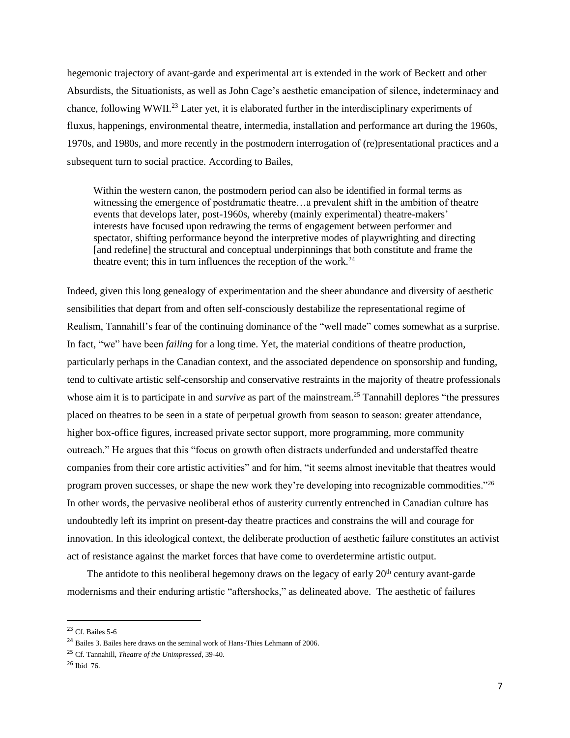hegemonic trajectory of avant-garde and experimental art is extended in the work of Beckett and other Absurdists, the Situationists, as well as John Cage's aesthetic emancipation of silence, indeterminacy and chance, following WWII.<sup>23</sup> Later yet, it is elaborated further in the interdisciplinary experiments of fluxus, happenings, environmental theatre, intermedia, installation and performance art during the 1960s, 1970s, and 1980s, and more recently in the postmodern interrogation of (re)presentational practices and a subsequent turn to social practice. According to Bailes,

Within the western canon, the postmodern period can also be identified in formal terms as witnessing the emergence of postdramatic theatre…a prevalent shift in the ambition of theatre events that develops later, post-1960s, whereby (mainly experimental) theatre-makers' interests have focused upon redrawing the terms of engagement between performer and spectator, shifting performance beyond the interpretive modes of playwrighting and directing [and redefine] the structural and conceptual underpinnings that both constitute and frame the theatre event; this in turn influences the reception of the work. $^{24}$ 

Indeed, given this long genealogy of experimentation and the sheer abundance and diversity of aesthetic sensibilities that depart from and often self-consciously destabilize the representational regime of Realism, Tannahill's fear of the continuing dominance of the "well made" comes somewhat as a surprise. In fact, "we" have been *failing* for a long time. Yet, the material conditions of theatre production, particularly perhaps in the Canadian context, and the associated dependence on sponsorship and funding, tend to cultivate artistic self-censorship and conservative restraints in the majority of theatre professionals whose aim it is to participate in and *survive* as part of the mainstream.<sup>25</sup> Tannahill deplores "the pressures" placed on theatres to be seen in a state of perpetual growth from season to season: greater attendance, higher box-office figures, increased private sector support, more programming, more community outreach." He argues that this "focus on growth often distracts underfunded and understaffed theatre companies from their core artistic activities" and for him, "it seems almost inevitable that theatres would program proven successes, or shape the new work they're developing into recognizable commodities."<sup>26</sup> In other words, the pervasive neoliberal ethos of austerity currently entrenched in Canadian culture has undoubtedly left its imprint on present-day theatre practices and constrains the will and courage for innovation. In this ideological context, the deliberate production of aesthetic failure constitutes an activist act of resistance against the market forces that have come to overdetermine artistic output.

The antidote to this neoliberal hegemony draws on the legacy of early  $20<sup>th</sup>$  century avant-garde modernisms and their enduring artistic "aftershocks," as delineated above. The aesthetic of failures

<sup>23</sup> Cf. Bailes 5-6

<sup>24</sup> Bailes 3. Bailes here draws on the seminal work of Hans-Thies Lehmann of 2006.

<sup>25</sup> Cf. Tannahill, *Theatre of the Unimpressed*, 39-40.

<sup>26</sup> Ibid 76.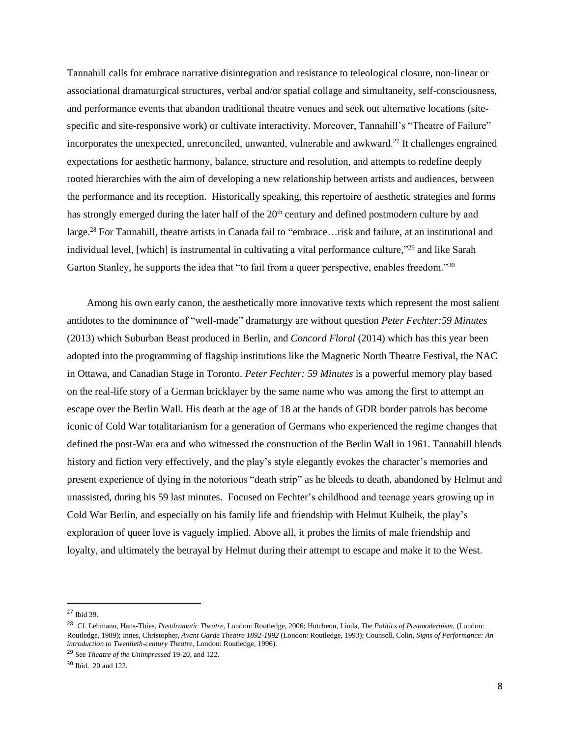Tannahill calls for embrace narrative disintegration and resistance to teleological closure, non-linear or associational dramaturgical structures, verbal and/or spatial collage and simultaneity, self-consciousness, and performance events that abandon traditional theatre venues and seek out alternative locations (sitespecific and site-responsive work) or cultivate interactivity. Moreover, Tannahill's "Theatre of Failure" incorporates the unexpected, unreconciled, unwanted, vulnerable and awkward. <sup>27</sup> It challenges engrained expectations for aesthetic harmony, balance, structure and resolution, and attempts to redefine deeply rooted hierarchies with the aim of developing a new relationship between artists and audiences, between the performance and its reception. Historically speaking, this repertoire of aesthetic strategies and forms has strongly emerged during the later half of the  $20<sup>th</sup>$  century and defined postmodern culture by and large.<sup>28</sup> For Tannahill, theatre artists in Canada fail to "embrace…risk and failure, at an institutional and individual level, [which] is instrumental in cultivating a vital performance culture,"<sup>29</sup> and like Sarah Garton Stanley, he supports the idea that "to fail from a queer perspective, enables freedom."<sup>30</sup>

Among his own early canon, the aesthetically more innovative texts which represent the most salient antidotes to the dominance of "well-made" dramaturgy are without question *Peter Fechter:59 Minutes* (2013) which Suburban Beast produced in Berlin, and *Concord Floral* (2014) which has this year been adopted into the programming of flagship institutions like the Magnetic North Theatre Festival, the NAC in Ottawa, and Canadian Stage in Toronto. *Peter Fechter: 59 Minutes* is a powerful memory play based on the real-life story of a German bricklayer by the same name who was among the first to attempt an escape over the Berlin Wall. His death at the age of 18 at the hands of GDR border patrols has become iconic of Cold War totalitarianism for a generation of Germans who experienced the regime changes that defined the post-War era and who witnessed the construction of the Berlin Wall in 1961. Tannahill blends history and fiction very effectively, and the play's style elegantly evokes the character's memories and present experience of dying in the notorious "death strip" as he bleeds to death, abandoned by Helmut and unassisted, during his 59 last minutes. Focused on Fechter's childhood and teenage years growing up in Cold War Berlin, and especially on his family life and friendship with Helmut Kulbeik, the play's exploration of queer love is vaguely implied. Above all, it probes the limits of male friendship and loyalty, and ultimately the betrayal by Helmut during their attempt to escape and make it to the West.

<sup>27</sup> Ibid 39.

<sup>28</sup> Cf. Lehmann, Hans-Thies, *Postdramatic Theatre*, London: Routledge, 2006; Hutcheon, Linda, *The Politics of Postmodernism*, (London: Routledge, 1989); Innes, Christopher, *Avant Garde Theatre 1892-1992* (London: Routledge, 1993); Counsell, Colin, *Signs of Performance: An introduction to Twentieth-century Theatre*, London: Routledge, 1996).

<sup>29</sup> See *Theatre of the Unimpressed* 19-20, and 122.

<sup>30</sup> Ibid. 20 and 122.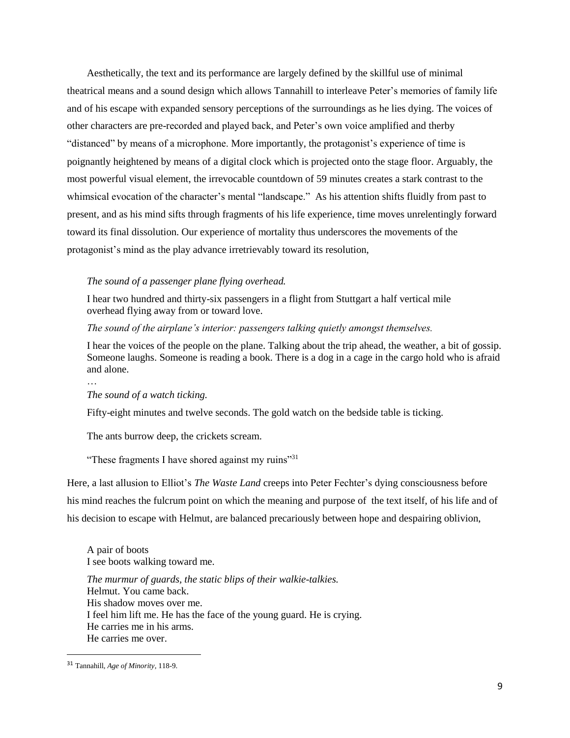Aesthetically, the text and its performance are largely defined by the skillful use of minimal theatrical means and a sound design which allows Tannahill to interleave Peter's memories of family life and of his escape with expanded sensory perceptions of the surroundings as he lies dying. The voices of other characters are pre-recorded and played back, and Peter's own voice amplified and therby "distanced" by means of a microphone. More importantly, the protagonist's experience of time is poignantly heightened by means of a digital clock which is projected onto the stage floor. Arguably, the most powerful visual element, the irrevocable countdown of 59 minutes creates a stark contrast to the whimsical evocation of the character's mental "landscape." As his attention shifts fluidly from past to present, and as his mind sifts through fragments of his life experience, time moves unrelentingly forward toward its final dissolution. Our experience of mortality thus underscores the movements of the protagonist's mind as the play advance irretrievably toward its resolution,

## *The sound of a passenger plane flying overhead.*

I hear two hundred and thirty-six passengers in a flight from Stuttgart a half vertical mile overhead flying away from or toward love.

### *The sound of the airplane's interior: passengers talking quietly amongst themselves.*

I hear the voices of the people on the plane. Talking about the trip ahead, the weather, a bit of gossip. Someone laughs. Someone is reading a book. There is a dog in a cage in the cargo hold who is afraid and alone.

## *The sound of a watch ticking.*

…

Fifty-eight minutes and twelve seconds. The gold watch on the bedside table is ticking.

The ants burrow deep, the crickets scream.

"These fragments I have shored against my ruins"<sup>31</sup>

Here, a last allusion to Elliot's *The Waste Land* creeps into Peter Fechter's dying consciousness before his mind reaches the fulcrum point on which the meaning and purpose of the text itself, of his life and of his decision to escape with Helmut, are balanced precariously between hope and despairing oblivion,

A pair of boots I see boots walking toward me.

*The murmur of guards, the static blips of their walkie-talkies.* Helmut. You came back. His shadow moves over me. I feel him lift me. He has the face of the young guard. He is crying. He carries me in his arms. He carries me over.

<sup>31</sup> Tannahill, *Age of Minority*, 118-9.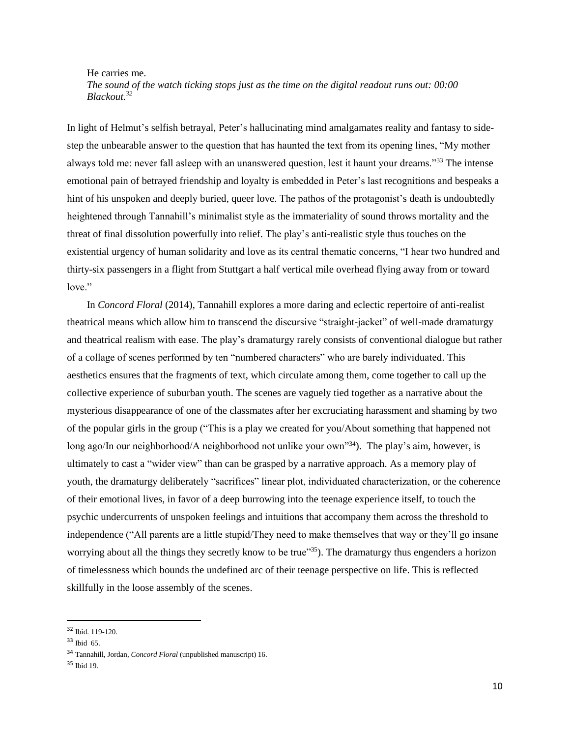He carries me. *The sound of the watch ticking stops just as the time on the digital readout runs out: 00:00 Blackout.<sup>32</sup>*

In light of Helmut's selfish betrayal, Peter's hallucinating mind amalgamates reality and fantasy to sidestep the unbearable answer to the question that has haunted the text from its opening lines, "My mother always told me: never fall asleep with an unanswered question, lest it haunt your dreams."<sup>33</sup> The intense emotional pain of betrayed friendship and loyalty is embedded in Peter's last recognitions and bespeaks a hint of his unspoken and deeply buried, queer love. The pathos of the protagonist's death is undoubtedly heightened through Tannahill's minimalist style as the immateriality of sound throws mortality and the threat of final dissolution powerfully into relief. The play's anti-realistic style thus touches on the existential urgency of human solidarity and love as its central thematic concerns, "I hear two hundred and thirty-six passengers in a flight from Stuttgart a half vertical mile overhead flying away from or toward love."

In *Concord Floral* (2014), Tannahill explores a more daring and eclectic repertoire of anti-realist theatrical means which allow him to transcend the discursive "straight-jacket" of well-made dramaturgy and theatrical realism with ease. The play's dramaturgy rarely consists of conventional dialogue but rather of a collage of scenes performed by ten "numbered characters" who are barely individuated. This aesthetics ensures that the fragments of text, which circulate among them, come together to call up the collective experience of suburban youth. The scenes are vaguely tied together as a narrative about the mysterious disappearance of one of the classmates after her excruciating harassment and shaming by two of the popular girls in the group ("This is a play we created for you/About something that happened not long ago/In our neighborhood/A neighborhood not unlike your own"<sup>34</sup>). The play's aim, however, is ultimately to cast a "wider view" than can be grasped by a narrative approach. As a memory play of youth, the dramaturgy deliberately "sacrifices" linear plot, individuated characterization, or the coherence of their emotional lives, in favor of a deep burrowing into the teenage experience itself, to touch the psychic undercurrents of unspoken feelings and intuitions that accompany them across the threshold to independence ("All parents are a little stupid/They need to make themselves that way or they'll go insane worrying about all the things they secretly know to be true"<sup>35</sup>). The dramaturgy thus engenders a horizon of timelessness which bounds the undefined arc of their teenage perspective on life. This is reflected skillfully in the loose assembly of the scenes.

<sup>32</sup> Ibid. 119-120.

<sup>33</sup> Ibid 65.

<sup>34</sup> Tannahill, Jordan, *Concord Floral* (unpublished manuscript) 16.

<sup>35</sup> Ibid 19.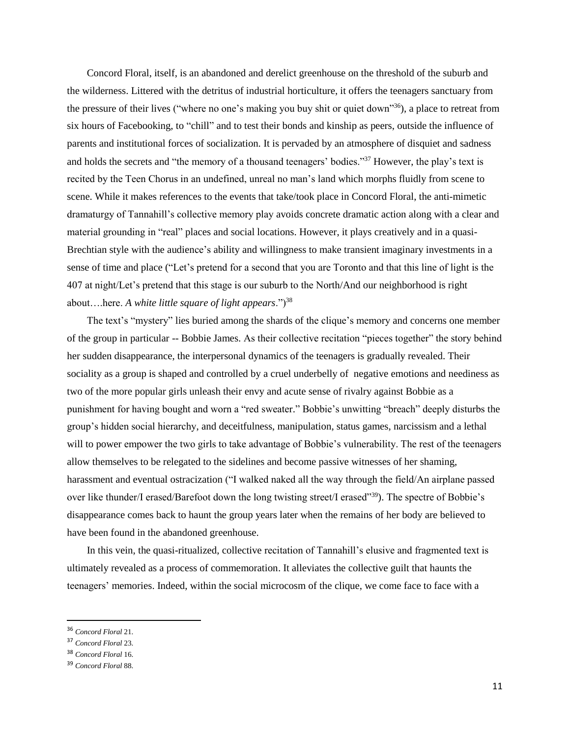Concord Floral, itself, is an abandoned and derelict greenhouse on the threshold of the suburb and the wilderness. Littered with the detritus of industrial horticulture, it offers the teenagers sanctuary from the pressure of their lives ("where no one's making you buy shit or quiet down"<sup>36</sup>), a place to retreat from six hours of Facebooking, to "chill" and to test their bonds and kinship as peers, outside the influence of parents and institutional forces of socialization. It is pervaded by an atmosphere of disquiet and sadness and holds the secrets and "the memory of a thousand teenagers' bodies."<sup>37</sup> However, the play's text is recited by the Teen Chorus in an undefined, unreal no man's land which morphs fluidly from scene to scene. While it makes references to the events that take/took place in Concord Floral, the anti-mimetic dramaturgy of Tannahill's collective memory play avoids concrete dramatic action along with a clear and material grounding in "real" places and social locations. However, it plays creatively and in a quasi-Brechtian style with the audience's ability and willingness to make transient imaginary investments in a sense of time and place ("Let's pretend for a second that you are Toronto and that this line of light is the 407 at night/Let's pretend that this stage is our suburb to the North/And our neighborhood is right about….here. *A white little square of light appears*.")<sup>38</sup>

The text's "mystery" lies buried among the shards of the clique's memory and concerns one member of the group in particular -- Bobbie James. As their collective recitation "pieces together" the story behind her sudden disappearance, the interpersonal dynamics of the teenagers is gradually revealed. Their sociality as a group is shaped and controlled by a cruel underbelly of negative emotions and neediness as two of the more popular girls unleash their envy and acute sense of rivalry against Bobbie as a punishment for having bought and worn a "red sweater." Bobbie's unwitting "breach" deeply disturbs the group's hidden social hierarchy, and deceitfulness, manipulation, status games, narcissism and a lethal will to power empower the two girls to take advantage of Bobbie's vulnerability. The rest of the teenagers allow themselves to be relegated to the sidelines and become passive witnesses of her shaming, harassment and eventual ostracization ("I walked naked all the way through the field/An airplane passed over like thunder/I erased/Barefoot down the long twisting street/I erased"<sup>39</sup>). The spectre of Bobbie's disappearance comes back to haunt the group years later when the remains of her body are believed to have been found in the abandoned greenhouse.

In this vein, the quasi-ritualized, collective recitation of Tannahill's elusive and fragmented text is ultimately revealed as a process of commemoration. It alleviates the collective guilt that haunts the teenagers' memories. Indeed, within the social microcosm of the clique, we come face to face with a

<sup>36</sup> *Concord Floral* 21.

<sup>37</sup> *Concord Floral* 23.

<sup>38</sup> *Concord Floral* 16.

<sup>39</sup> *Concord Floral* 88.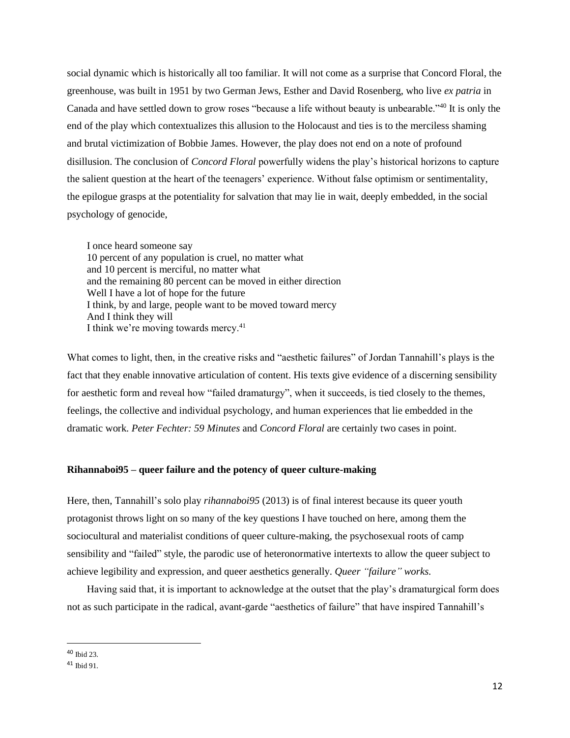social dynamic which is historically all too familiar. It will not come as a surprise that Concord Floral, the greenhouse, was built in 1951 by two German Jews, Esther and David Rosenberg, who live *ex patria* in Canada and have settled down to grow roses "because a life without beauty is unbearable."<sup>40</sup> It is only the end of the play which contextualizes this allusion to the Holocaust and ties is to the merciless shaming and brutal victimization of Bobbie James. However, the play does not end on a note of profound disillusion. The conclusion of *Concord Floral* powerfully widens the play's historical horizons to capture the salient question at the heart of the teenagers' experience. Without false optimism or sentimentality, the epilogue grasps at the potentiality for salvation that may lie in wait, deeply embedded, in the social psychology of genocide,

I once heard someone say 10 percent of any population is cruel, no matter what and 10 percent is merciful, no matter what and the remaining 80 percent can be moved in either direction Well I have a lot of hope for the future I think, by and large, people want to be moved toward mercy And I think they will I think we're moving towards mercy.<sup>41</sup>

What comes to light, then, in the creative risks and "aesthetic failures" of Jordan Tannahill's plays is the fact that they enable innovative articulation of content. His texts give evidence of a discerning sensibility for aesthetic form and reveal how "failed dramaturgy", when it succeeds, is tied closely to the themes, feelings, the collective and individual psychology, and human experiences that lie embedded in the dramatic work. *Peter Fechter: 59 Minutes* and *Concord Floral* are certainly two cases in point.

#### **Rihannaboi95 – queer failure and the potency of queer culture-making**

Here, then, Tannahill's solo play *rihannaboi95* (2013) is of final interest because its queer youth protagonist throws light on so many of the key questions I have touched on here, among them the sociocultural and materialist conditions of queer culture-making, the psychosexual roots of camp sensibility and "failed" style, the parodic use of heteronormative intertexts to allow the queer subject to achieve legibility and expression, and queer aesthetics generally. *Queer "failure" works.*

Having said that, it is important to acknowledge at the outset that the play's dramaturgical form does not as such participate in the radical, avant-garde "aesthetics of failure" that have inspired Tannahill's

l

<sup>40</sup> Ibid 23.

<sup>41</sup> Ibid 91.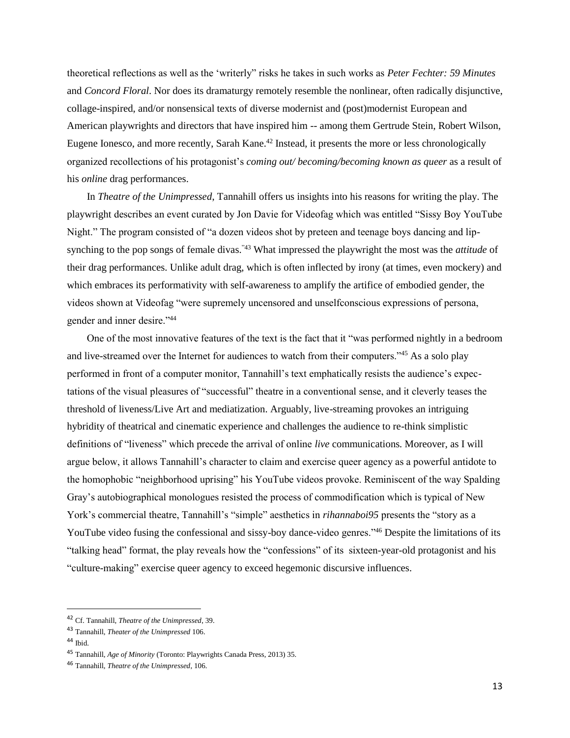theoretical reflections as well as the 'writerly" risks he takes in such works as *Peter Fechter: 59 Minutes* and *Concord Floral*. Nor does its dramaturgy remotely resemble the nonlinear, often radically disjunctive, collage-inspired, and/or nonsensical texts of diverse modernist and (post)modernist European and American playwrights and directors that have inspired him -- among them Gertrude Stein, Robert Wilson, Eugene Ionesco, and more recently, Sarah Kane.<sup>42</sup> Instead, it presents the more or less chronologically organized recollections of his protagonist's *coming out/ becoming/becoming known as queer* as a result of his *online* drag performances.

In *Theatre of the Unimpressed*, Tannahill offers us insights into his reasons for writing the play. The playwright describes an event curated by Jon Davie for Videofag which was entitled "Sissy Boy YouTube Night." The program consisted of "a dozen videos shot by preteen and teenage boys dancing and lipsynching to the pop songs of female divas."43 What impressed the playwright the most was the *attitude* of their drag performances. Unlike adult drag, which is often inflected by irony (at times, even mockery) and which embraces its performativity with self-awareness to amplify the artifice of embodied gender, the videos shown at Videofag "were supremely uncensored and unselfconscious expressions of persona, gender and inner desire."<sup>44</sup>

One of the most innovative features of the text is the fact that it "was performed nightly in a bedroom and live-streamed over the Internet for audiences to watch from their computers."<sup>45</sup> As a solo play performed in front of a computer monitor, Tannahill's text emphatically resists the audience's expectations of the visual pleasures of "successful" theatre in a conventional sense, and it cleverly teases the threshold of liveness/Live Art and mediatization. Arguably, live-streaming provokes an intriguing hybridity of theatrical and cinematic experience and challenges the audience to re-think simplistic definitions of "liveness" which precede the arrival of online *live* communications. Moreover, as I will argue below, it allows Tannahill's character to claim and exercise queer agency as a powerful antidote to the homophobic "neighborhood uprising" his YouTube videos provoke. Reminiscent of the way Spalding Gray's autobiographical monologues resisted the process of commodification which is typical of New York's commercial theatre, Tannahill's "simple" aesthetics in *rihannaboi95* presents the "story as a YouTube video fusing the confessional and sissy-boy dance-video genres."<sup>46</sup> Despite the limitations of its "talking head" format, the play reveals how the "confessions" of its sixteen-year-old protagonist and his "culture-making" exercise queer agency to exceed hegemonic discursive influences.

l

<sup>42</sup> Cf. Tannahill, *Theatre of the Unimpressed*, 39.

<sup>43</sup> Tannahill, *Theater of the Unimpressed* 106.

 $44$  Ibid.

<sup>45</sup> Tannahill, *Age of Minority* (Toronto: Playwrights Canada Press, 2013) 35.

<sup>46</sup> Tannahill, *Theatre of the Unimpressed*, 106.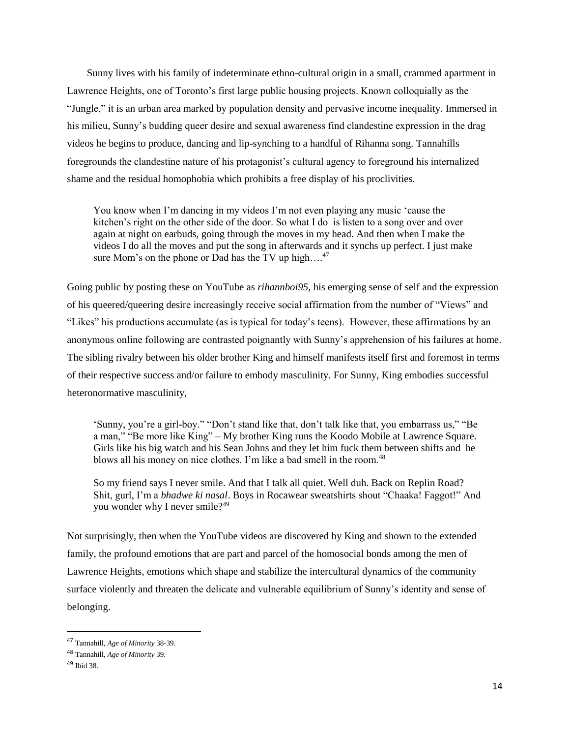Sunny lives with his family of indeterminate ethno-cultural origin in a small, crammed apartment in Lawrence Heights, one of Toronto's first large public housing projects. Known colloquially as the "Jungle," it is an urban area marked by population density and pervasive income inequality. Immersed in his milieu, Sunny's budding queer desire and sexual awareness find clandestine expression in the drag videos he begins to produce, dancing and lip-synching to a handful of Rihanna song. Tannahills foregrounds the clandestine nature of his protagonist's cultural agency to foreground his internalized shame and the residual homophobia which prohibits a free display of his proclivities.

You know when I'm dancing in my videos I'm not even playing any music 'cause the kitchen's right on the other side of the door. So what I do is listen to a song over and over again at night on earbuds, going through the moves in my head. And then when I make the videos I do all the moves and put the song in afterwards and it synchs up perfect. I just make sure Mom's on the phone or Dad has the TV up high....<sup>47</sup>

Going public by posting these on YouTube as *rihannboi95*, his emerging sense of self and the expression of his queered/queering desire increasingly receive social affirmation from the number of "Views" and "Likes" his productions accumulate (as is typical for today's teens). However, these affirmations by an anonymous online following are contrasted poignantly with Sunny's apprehension of his failures at home. The sibling rivalry between his older brother King and himself manifests itself first and foremost in terms of their respective success and/or failure to embody masculinity. For Sunny, King embodies successful heteronormative masculinity,

'Sunny, you're a girl-boy." "Don't stand like that, don't talk like that, you embarrass us," "Be a man," "Be more like King" – My brother King runs the Koodo Mobile at Lawrence Square. Girls like his big watch and his Sean Johns and they let him fuck them between shifts and he blows all his money on nice clothes. I'm like a bad smell in the room.<sup>48</sup>

So my friend says I never smile. And that I talk all quiet. Well duh. Back on Replin Road? Shit, gurl, I'm a *bhadwe ki nasal*. Boys in Rocawear sweatshirts shout "Chaaka! Faggot!" And you wonder why I never smile?<sup>49</sup>

Not surprisingly, then when the YouTube videos are discovered by King and shown to the extended family, the profound emotions that are part and parcel of the homosocial bonds among the men of Lawrence Heights, emotions which shape and stabilize the intercultural dynamics of the community surface violently and threaten the delicate and vulnerable equilibrium of Sunny's identity and sense of belonging.

<sup>47</sup> Tannahill, *Age of Minority* 38-39.

<sup>48</sup> Tannahill, *Age of Minority* 39.

 $49$  Ibid 38.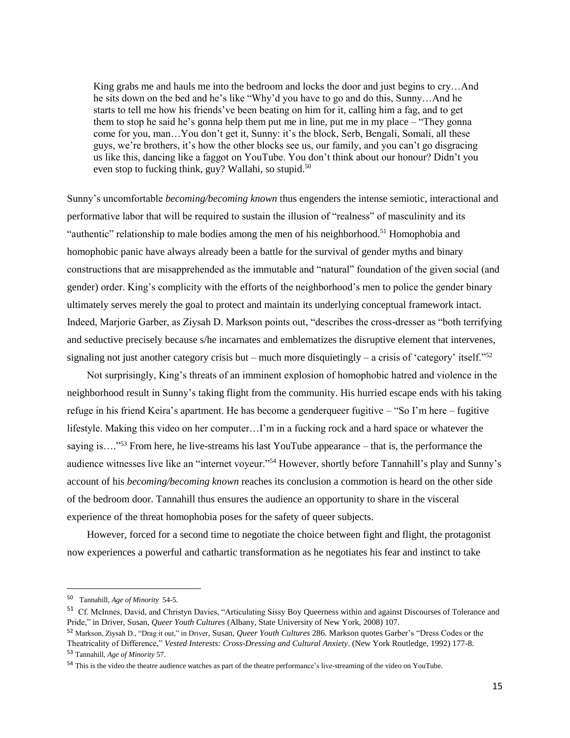King grabs me and hauls me into the bedroom and locks the door and just begins to cry…And he sits down on the bed and he's like "Why'd you have to go and do this, Sunny…And he starts to tell me how his friends've been beating on him for it, calling him a fag, and to get them to stop he said he's gonna help them put me in line, put me in my place – "They gonna come for you, man…You don't get it, Sunny: it's the block, Serb, Bengali, Somali, all these guys, we're brothers, it's how the other blocks see us, our family, and you can't go disgracing us like this, dancing like a faggot on YouTube. You don't think about our honour? Didn't you even stop to fucking think, guy? Wallahi, so stupid.<sup>50</sup>

Sunny's uncomfortable *becoming/becoming known* thus engenders the intense semiotic, interactional and performative labor that will be required to sustain the illusion of "realness" of masculinity and its "authentic" relationship to male bodies among the men of his neighborhood.<sup>51</sup> Homophobia and homophobic panic have always already been a battle for the survival of gender myths and binary constructions that are misapprehended as the immutable and "natural" foundation of the given social (and gender) order. King's complicity with the efforts of the neighborhood's men to police the gender binary ultimately serves merely the goal to protect and maintain its underlying conceptual framework intact. Indeed, Marjorie Garber, as Ziysah D. Markson points out, "describes the cross-dresser as "both terrifying and seductive precisely because s/he incarnates and emblematizes the disruptive element that intervenes, signaling not just another category crisis but – much more disquietingly – a crisis of 'category' itself."<sup>52</sup>

Not surprisingly, King's threats of an imminent explosion of homophobic hatred and violence in the neighborhood result in Sunny's taking flight from the community. His hurried escape ends with his taking refuge in his friend Keira's apartment. He has become a genderqueer fugitive – "So I'm here – fugitive lifestyle. Making this video on her computer…I'm in a fucking rock and a hard space or whatever the saying is…."<sup>53</sup> From here, he live-streams his last YouTube appearance – that is, the performance the audience witnesses live like an "internet voyeur."<sup>54</sup> However, shortly before Tannahill's play and Sunny's account of his *becoming/becoming known* reaches its conclusion a commotion is heard on the other side of the bedroom door. Tannahill thus ensures the audience an opportunity to share in the visceral experience of the threat homophobia poses for the safety of queer subjects.

However, forced for a second time to negotiate the choice between fight and flight, the protagonist now experiences a powerful and cathartic transformation as he negotiates his fear and instinct to take

<sup>50</sup> Tannahill, *Age of Minority* 54-5.

<sup>&</sup>lt;sup>51</sup> Cf. McInnes, David, and Christyn Davies, "Articulating Sissy Boy Queerness within and against Discourses of Tolerance and Pride," in Driver, Susan, *Queer Youth Cultures* (Albany, State University of New York, 2008) 107.

<sup>52</sup> Markson, Ziysah D., "Drag it out," in Driver, Susan, *Queer Youth Cultures* 286. Markson quotes Garber's "Dress Codes or the Theatricality of Difference," *Vested Interests: Cross-Dressing and Cultural Anxiety*. (New York Routledge, 1992) 177-8. <sup>53</sup> Tannahill, *Age of Minority* 57.

<sup>54</sup> This is the video the theatre audience watches as part of the theatre performance's live-streaming of the video on YouTube.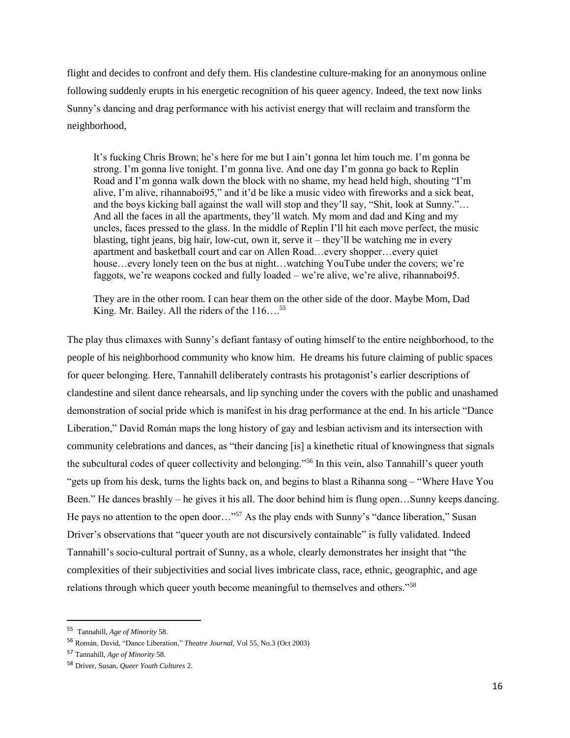flight and decides to confront and defy them. His clandestine culture-making for an anonymous online following suddenly erupts in his energetic recognition of his queer agency. Indeed, the text now links Sunny's dancing and drag performance with his activist energy that will reclaim and transform the neighborhood,

It's fucking Chris Brown; he's here for me but I ain't gonna let him touch me. I'm gonna be strong. I'm gonna live tonight. I'm gonna live. And one day I'm gonna go back to Replin Road and I'm gonna walk down the block with no shame, my head held high, shouting "I'm alive, I'm alive, rihannaboi95," and it'd be like a music video with fireworks and a sick beat, and the boys kicking ball against the wall will stop and they'll say, "Shit, look at Sunny."… And all the faces in all the apartments, they'll watch. My mom and dad and King and my uncles, faces pressed to the glass. In the middle of Replin I'll hit each move perfect, the music blasting, tight jeans, big hair, low-cut, own it, serve it – they'll be watching me in every apartment and basketball court and car on Allen Road…every shopper…every quiet house…every lonely teen on the bus at night…watching YouTube under the covers; we're faggots, we're weapons cocked and fully loaded – we're alive, we're alive, rihannaboi95.

They are in the other room. I can hear them on the other side of the door. Maybe Mom, Dad King. Mr. Bailey. All the riders of the 116...<sup>55</sup>

The play thus climaxes with Sunny's defiant fantasy of outing himself to the entire neighborhood, to the people of his neighborhood community who know him. He dreams his future claiming of public spaces for queer belonging. Here, Tannahill deliberately contrasts his protagonist's earlier descriptions of clandestine and silent dance rehearsals, and lip synching under the covers with the public and unashamed demonstration of social pride which is manifest in his drag performance at the end. In his article "Dance Liberation," David Román maps the long history of gay and lesbian activism and its intersection with community celebrations and dances, as "their dancing [is] a kinethetic ritual of knowingness that signals the subcultural codes of queer collectivity and belonging."<sup>56</sup> In this vein, also Tannahill's queer youth "gets up from his desk, turns the lights back on, and begins to blast a Rihanna song – "Where Have You Been." He dances brashly – he gives it his all. The door behind him is flung open…Sunny keeps dancing. He pays no attention to the open door..."<sup>57</sup> As the play ends with Sunny's "dance liberation," Susan Driver's observations that "queer youth are not discursively containable" is fully validated. Indeed Tannahill's socio-cultural portrait of Sunny, as a whole, clearly demonstrates her insight that "the complexities of their subjectivities and social lives imbricate class, race, ethnic, geographic, and age relations through which queer youth become meaningful to themselves and others."<sup>58</sup>

<sup>55</sup> Tannahill, *Age of Minority* 58.

<sup>56</sup> Román, David, "Dance Liberation," *Theatre Journal*, Vol 55, No.3 (Oct 2003)

<sup>57</sup> Tannahill, *Age of Minority* 58.

<sup>58</sup> Driver, Susan, *Queer Youth Cultures* 2.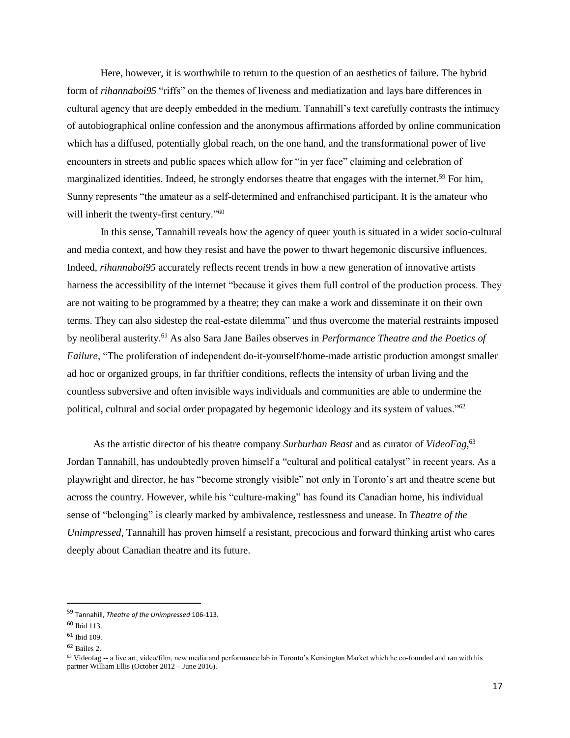Here, however, it is worthwhile to return to the question of an aesthetics of failure. The hybrid form of *rihannaboi95* "riffs" on the themes of liveness and mediatization and lays bare differences in cultural agency that are deeply embedded in the medium. Tannahill's text carefully contrasts the intimacy of autobiographical online confession and the anonymous affirmations afforded by online communication which has a diffused, potentially global reach, on the one hand, and the transformational power of live encounters in streets and public spaces which allow for "in yer face" claiming and celebration of marginalized identities. Indeed, he strongly endorses theatre that engages with the internet.<sup>59</sup> For him, Sunny represents "the amateur as a self-determined and enfranchised participant. It is the amateur who will inherit the twenty-first century."<sup>60</sup>

In this sense, Tannahill reveals how the agency of queer youth is situated in a wider socio-cultural and media context, and how they resist and have the power to thwart hegemonic discursive influences. Indeed, *rihannaboi95* accurately reflects recent trends in how a new generation of innovative artists harness the accessibility of the internet "because it gives them full control of the production process. They are not waiting to be programmed by a theatre; they can make a work and disseminate it on their own terms. They can also sidestep the real-estate dilemma" and thus overcome the material restraints imposed by neoliberal austerity.<sup>61</sup> As also Sara Jane Bailes observes in *Performance Theatre and the Poetics of Failure*, "The proliferation of independent do-it-yourself/home-made artistic production amongst smaller ad hoc or organized groups, in far thriftier conditions, reflects the intensity of urban living and the countless subversive and often invisible ways individuals and communities are able to undermine the political, cultural and social order propagated by hegemonic ideology and its system of values."<sup>62</sup>

As the artistic director of his theatre company *Surburban Beast* and as curator of *VideoFag*, 63 Jordan Tannahill, has undoubtedly proven himself a "cultural and political catalyst" in recent years. As a playwright and director, he has "become strongly visible" not only in Toronto's art and theatre scene but across the country. However, while his "culture-making" has found its Canadian home, his individual sense of "belonging" is clearly marked by ambivalence, restlessness and unease. In *Theatre of the Unimpressed*, Tannahill has proven himself a resistant, precocious and forward thinking artist who cares deeply about Canadian theatre and its future.

<sup>59</sup> Tannahill, *Theatre of the Unimpressed* 106-113.

<sup>60</sup> Ibid 113.

<sup>61</sup> Ibid 109.

<sup>62</sup> Bailes 2.

 $63$  Videofag -- a live art, video/film, new media and performance lab in Toronto's Kensington Market which he co-founded and ran with his partner William Ellis (October 2012 – June 2016).